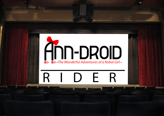# **The Wonderful Adventures of a Robot Girl**

## RIDER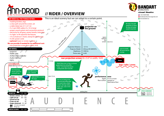

#### *The Wonderful Adventures of a Robot Girl* **. // RIDER / OVERVIEW <b>***CHANGERY CORPORT SETTING ADDRESS OF A BOSS SO 9686*





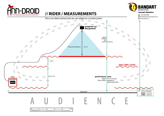

#### The Wonderful Adventures of a Robot Girl **Andrew Struck Concert Form Concert Page 11 1994** 11 **Concert Page 11 1994**



bandartproductions@gmail.com www.bandart.eu

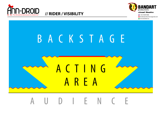



bandartproductions@gmail.com **W** www.bandart.eu

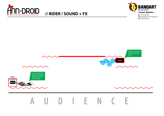

#### The Wonderful Adventures of a Robot Girl **Andrew Street of Adventures of a Robot Girl 11 <b>RIDER** / SOUND + FX **Canally and Adventures of a Robot Girl 11 <b>RIDER** / SOUND + FX **Canally and Adventures of a Robot Girl 1**



bandartproductions@gmail.com www.bandart.eu